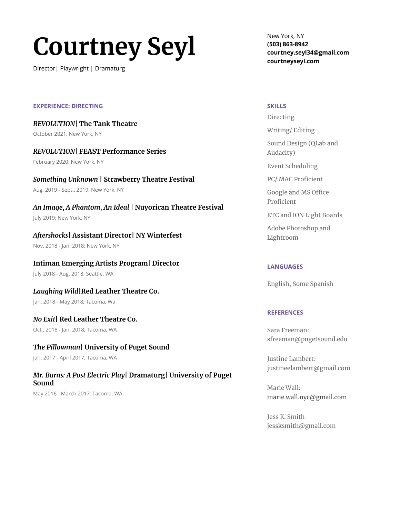# **Courtney Seyl**

Director| Playwright | Dramaturg

New York, NY **(503) 863-8942 courtney.seyl34@gmail.com courtneyseyl.com**

#### **EXPERIENCE: DIRECTING**

*REVOLUTION***| The Tank Theatre** October 2021; New York, NY

#### *REVOLUTION***| FEAST Performance Series**

February 2020; New York, NY

## *Something Unknown* **| Strawberry Theatre Festival**

Aug. 2019 - Sept.. 2019; New York, NY

## *An Image, A Phantom, An Ideal* **| Nuyorican Theatre Festival**

July 2019; New York, NY

## *Aftershocks***| Assistant Director| NY Winterfest**

Nov. 2018 - Jan. 2018; New York, NY

#### **Intiman Emerging Artists Program| Director**

July 2018 - Aug. 2018; Seattle, WA

## *Laughing Wild***|Red Leather Theatre Co.**

Jan. 2018 - May 2018; Tacoma, Wa

## *No Exit***| Red Leather Theatre Co.**

Oct.. 2018 - Jan. 2018; Tacoma, WA

## *The Pillowman***| University of Puget Sound**

Jan. 2017 - April 2017; Tacoma, WA

## *Mr. Burns: A Post Electric Play***| Dramaturg| University of Puget Sound**

May 2016 - March 2017; Tacoma, WA

#### **SKILLS**

Directing

#### Writing/ Editing

Sound Design (QLab and Audacity)

Event Scheduling

PC/ MAC Proficient

Google and MS Office Proficient

ETC and ION Light Boards

Adobe Photoshop and Lightroom

#### **LANGUAGES**

English, Some Spanish

#### **REFERENCES**

Sara Freeman: [sfreeman@pugetsound.edu](mailto:sfreeman@pugetsound.edu)

Justine Lambert: justineelambert@gmail.com

Marie Wall: [marie.wall.nyc@gmail.com](mailto:marie.wall.nyc@gmail.com)

Jess K. Smith jessksmith@gmail.com